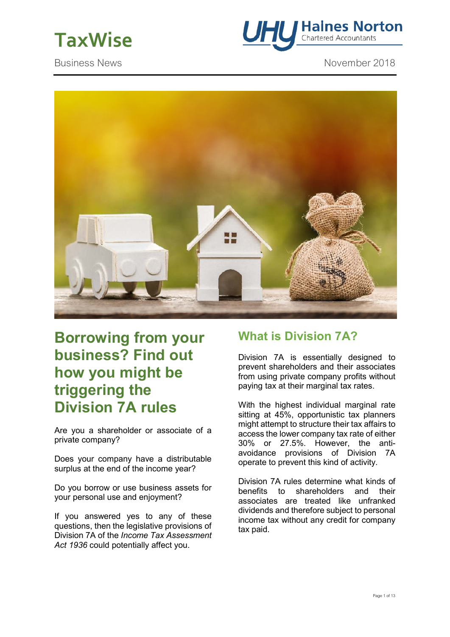



Business News **November 2018** 



# **Borrowing from your business? Find out how you might be triggering the Division 7A rules**

Are you a shareholder or associate of a private company?

Does your company have a distributable surplus at the end of the income year?

Do you borrow or use business assets for your personal use and enjoyment?

If you answered yes to any of these questions, then the legislative provisions of Division 7A of the *Income Tax Assessment Act 1936* could potentially affect you.

# **What is Division 7A?**

Division 7A is essentially designed to prevent shareholders and their associates from using private company profits without paying tax at their marginal tax rates.

With the highest individual marginal rate sitting at 45%, opportunistic tax planners might attempt to structure their tax affairs to access the lower company tax rate of either 30% or 27.5%. However, the antiavoidance provisions of Division 7A operate to prevent this kind of activity.

Division 7A rules determine what kinds of benefits to shareholders and their associates are treated like unfranked dividends and therefore subject to personal income tax without any credit for company tax paid.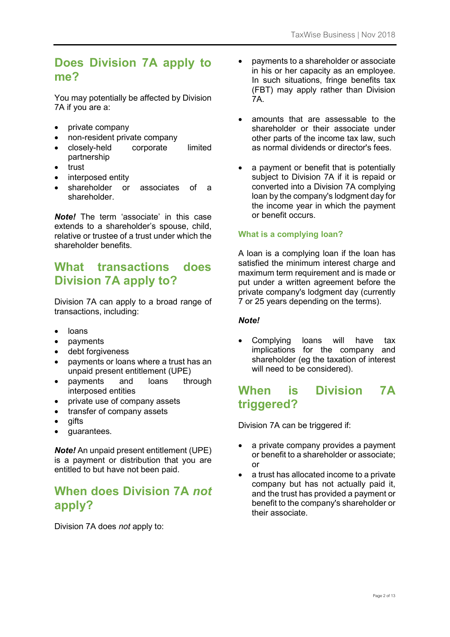# **Does Division 7A apply to me?**

You may potentially be affected by Division 7A if you are a:

- private company
- non-resident private company
- closely-held corporate limited partnership
- trust
- interposed entity
- shareholder or associates of a shareholder.

*Note!* The term 'associate' in this case extends to a shareholder's spouse, child, relative or trustee of a trust under which the shareholder benefits.

## **What transactions does Division 7A apply to?**

Division 7A can apply to a broad range of transactions, including:

- loans
- payments
- debt forgiveness
- payments or loans where a trust has an unpaid present entitlement (UPE)
- payments and loans through interposed entities
- private use of company assets
- transfer of company assets
- gifts
- guarantees.

*Note!* An unpaid present entitlement (UPE) is a payment or distribution that you are entitled to but have not been paid.

# **When does Division 7A** *not*  **apply?**

Division 7A does *not* apply to:

- payments to a shareholder or associate in his or her capacity as an employee. In such situations, fringe benefits tax (FBT) may apply rather than Division 7A.
- amounts that are assessable to the shareholder or their associate under other parts of the income tax law, such as normal dividends or director's fees.
- a payment or benefit that is potentially subject to Division 7A if it is repaid or converted into a Division 7A complying loan by the company's lodgment day for the income year in which the payment or benefit occurs.

### **What is a complying loan?**

A loan is a complying loan if the loan has satisfied the minimum interest charge and maximum term requirement and is made or put under a written agreement before the private company's lodgment day (currently 7 or 25 years depending on the terms).

### *Note!*

Complying loans will have tax implications for the company and shareholder (eg the taxation of interest will need to be considered).

## **When is Division 7A triggered?**

Division 7A can be triggered if:

- a private company provides a payment or benefit to a shareholder or associate; or
- a trust has allocated income to a private company but has not actually paid it, and the trust has provided a payment or benefit to the company's shareholder or their associate.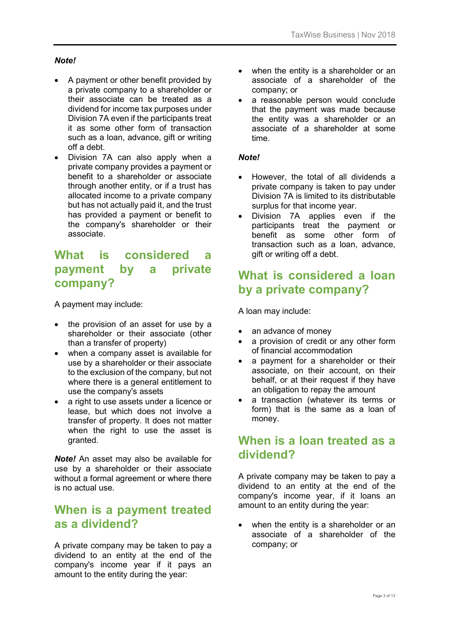### *Note!*

- A payment or other benefit provided by a private company to a shareholder or their associate can be treated as a dividend for income tax purposes under Division 7A even if the participants treat it as some other form of transaction such as a loan, advance, gift or writing off a debt.
- Division 7A can also apply when a private company provides a payment or benefit to a shareholder or associate through another entity, or if a trust has allocated income to a private company but has not actually paid it, and the trust has provided a payment or benefit to the company's shareholder or their associate.

# **What is considered a payment by a private company?**

A payment may include:

- the provision of an asset for use by a shareholder or their associate (other than a transfer of property)
- when a company asset is available for use by a shareholder or their associate to the exclusion of the company, but not where there is a general entitlement to use the company's assets
- a right to use assets under a licence or lease, but which does not involve a transfer of property. It does not matter when the right to use the asset is granted.

*Note!* An asset may also be available for use by a shareholder or their associate without a formal agreement or where there is no actual use.

### **When is a payment treated as a dividend?**

A private company may be taken to pay a dividend to an entity at the end of the company's income year if it pays an amount to the entity during the year:

- when the entity is a shareholder or an associate of a shareholder of the company; or
- a reasonable person would conclude that the payment was made because the entity was a shareholder or an associate of a shareholder at some time.

### *Note!*

- However, the total of all dividends a private company is taken to pay under Division 7A is limited to its distributable surplus for that income year.
- Division 7A applies even if the participants treat the payment or benefit as some other form of transaction such as a loan, advance, gift or writing off a debt.

## **What is considered a loan by a private company?**

A loan may include:

- an advance of money
- a provision of credit or any other form of financial accommodation
- a payment for a shareholder or their associate, on their account, on their behalf, or at their request if they have an obligation to repay the amount
- a transaction (whatever its terms or form) that is the same as a loan of money.

# **When is a loan treated as a dividend?**

A private company may be taken to pay a dividend to an entity at the end of the company's income year, if it loans an amount to an entity during the year:

• when the entity is a shareholder or an associate of a shareholder of the company; or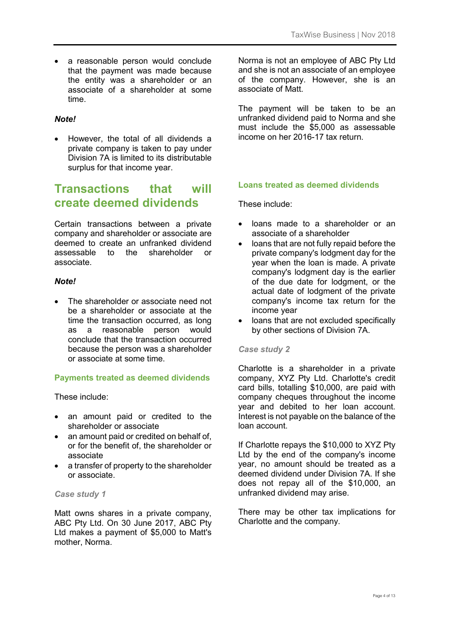• a reasonable person would conclude that the payment was made because the entity was a shareholder or an associate of a shareholder at some time.

### *Note!*

• However, the total of all dividends a private company is taken to pay under Division 7A is limited to its distributable surplus for that income year.

## **Transactions that will create deemed dividends**

Certain transactions between a private company and shareholder or associate are deemed to create an unfranked dividend assessable to the shareholder or associate.

### *Note!*

• The shareholder or associate need not be a shareholder or associate at the time the transaction occurred, as long as a reasonable person would conclude that the transaction occurred because the person was a shareholder or associate at some time.

### **Payments treated as deemed dividends**

These include:

- an amount paid or credited to the shareholder or associate
- an amount paid or credited on behalf of. or for the benefit of, the shareholder or associate
- a transfer of property to the shareholder or associate.

#### *Case study 1*

Matt owns shares in a private company, ABC Pty Ltd. On 30 June 2017, ABC Pty Ltd makes a payment of \$5,000 to Matt's mother, Norma.

Norma is not an employee of ABC Pty Ltd and she is not an associate of an employee of the company. However, she is an associate of Matt.

The payment will be taken to be an unfranked dividend paid to Norma and she must include the \$5,000 as assessable income on her 2016-17 tax return.

#### **Loans treated as deemed dividends**

These include:

- loans made to a shareholder or an associate of a shareholder
- loans that are not fully repaid before the private company's lodgment day for the year when the loan is made. A private company's lodgment day is the earlier of the due date for lodgment, or the actual date of lodgment of the private company's income tax return for the income year
- loans that are not excluded specifically by other sections of Division 7A.

#### *Case study 2*

Charlotte is a shareholder in a private company, XYZ Pty Ltd. Charlotte's credit card bills, totalling \$10,000, are paid with company cheques throughout the income year and debited to her loan account. Interest is not payable on the balance of the loan account.

If Charlotte repays the \$10,000 to XYZ Pty Ltd by the end of the company's income year, no amount should be treated as a deemed dividend under Division 7A. If she does not repay all of the \$10,000, an unfranked dividend may arise.

There may be other tax implications for Charlotte and the company.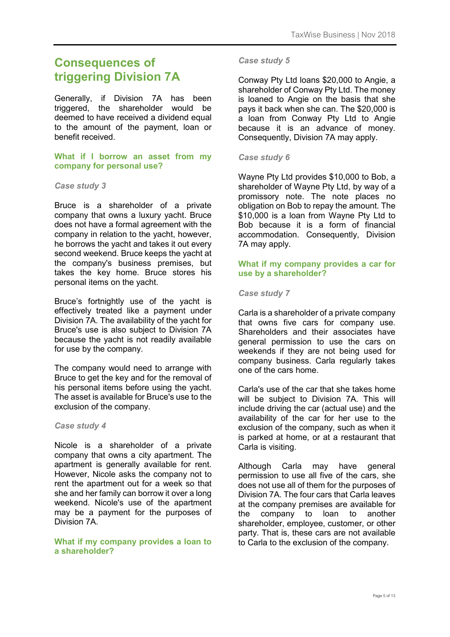# **Consequences of triggering Division 7A**

Generally, if Division 7A has been triggered, the shareholder would be deemed to have received a dividend equal to the amount of the payment, loan or benefit received.

### **What if I borrow an asset from my company for personal use?**

#### *Case study 3*

Bruce is a shareholder of a private company that owns a luxury yacht. Bruce does not have a formal agreement with the company in relation to the yacht, however, he borrows the yacht and takes it out every second weekend. Bruce keeps the yacht at the company's business premises, but takes the key home. Bruce stores his personal items on the yacht.

Bruce's fortnightly use of the yacht is effectively treated like a payment under Division 7A. The availability of the yacht for Bruce's use is also subject to Division 7A because the yacht is not readily available for use by the company.

The company would need to arrange with Bruce to get the key and for the removal of his personal items before using the yacht. The asset is available for Bruce's use to the exclusion of the company.

#### *Case study 4*

Nicole is a shareholder of a private company that owns a city apartment. The apartment is generally available for rent. However, Nicole asks the company not to rent the apartment out for a week so that she and her family can borrow it over a long weekend. Nicole's use of the apartment may be a payment for the purposes of Division 7A.

#### **What if my company provides a loan to a shareholder?**

#### *Case study 5*

Conway Pty Ltd loans \$20,000 to Angie, a shareholder of Conway Pty Ltd. The money is loaned to Angie on the basis that she pays it back when she can. The \$20,000 is a loan from Conway Pty Ltd to Angie because it is an advance of money. Consequently, Division 7A may apply.

### *Case study 6*

Wayne Pty Ltd provides \$10,000 to Bob, a shareholder of Wayne Pty Ltd, by way of a promissory note. The note places no obligation on Bob to repay the amount. The \$10,000 is a loan from Wayne Pty Ltd to Bob because it is a form of financial accommodation. Consequently, Division 7A may apply.

### **What if my company provides a car for use by a shareholder?**

#### *Case study 7*

Carla is a shareholder of a private company that owns five cars for company use. Shareholders and their associates have general permission to use the cars on weekends if they are not being used for company business. Carla regularly takes one of the cars home.

Carla's use of the car that she takes home will be subject to Division 7A. This will include driving the car (actual use) and the availability of the car for her use to the exclusion of the company, such as when it is parked at home, or at a restaurant that Carla is visiting.

Although Carla may have general permission to use all five of the cars, she does not use all of them for the purposes of Division 7A. The four cars that Carla leaves at the company premises are available for the company to loan to another shareholder, employee, customer, or other party. That is, these cars are not available to Carla to the exclusion of the company.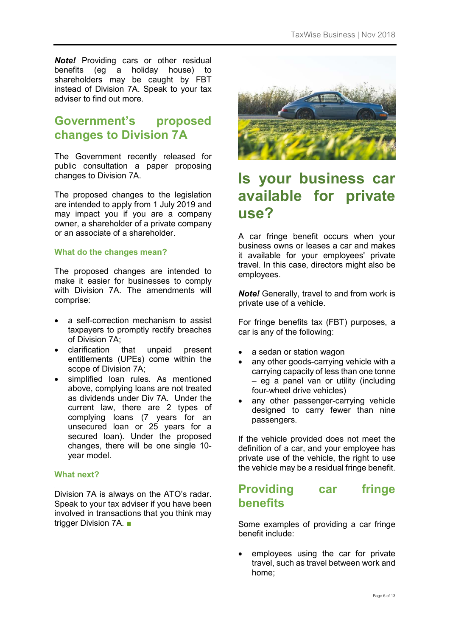*Note!* Providing cars or other residual benefits (eg a holiday house) to shareholders may be caught by FBT instead of Division 7A. Speak to your tax adviser to find out more.

# **Government's proposed changes to Division 7A**

The Government recently released for public consultation a paper proposing changes to Division 7A.

The proposed changes to the legislation are intended to apply from 1 July 2019 and may impact you if you are a company owner, a shareholder of a private company or an associate of a shareholder.

### **What do the changes mean?**

The proposed changes are intended to make it easier for businesses to comply with Division 7A. The amendments will comprise:

- a self-correction mechanism to assist taxpayers to promptly rectify breaches of Division 7A;
- clarification that unpaid present entitlements (UPEs) come within the scope of Division 7A;
- simplified loan rules. As mentioned above, complying loans are not treated as dividends under Div 7A. Under the current law, there are 2 types of complying loans (7 years for an unsecured loan or 25 years for a secured loan). Under the proposed changes, there will be one single 10 year model.

### **What next?**

Division 7A is always on the ATO's radar. Speak to your tax adviser if you have been involved in transactions that you think may trigger Division 7A. ■



# **Is your business car available for private use?**

A car fringe benefit occurs when your business owns or leases a car and makes it available for your employees' private travel. In this case, directors might also be employees.

*Note!* Generally, travel to and from work is private use of a vehicle.

For fringe benefits tax (FBT) purposes, a car is any of the following:

- a sedan or station wagon
- any other goods-carrying vehicle with a carrying capacity of less than one tonne – eg a panel van or utility (including four-wheel drive vehicles)
- any other passenger-carrying vehicle designed to carry fewer than nine passengers.

If the vehicle provided does not meet the definition of a car, and your employee has private use of the vehicle, the right to use the vehicle may be a residual fringe benefit.

## **Providing car fringe benefits**

Some examples of providing a car fringe benefit include:

employees using the car for private travel, such as travel between work and home;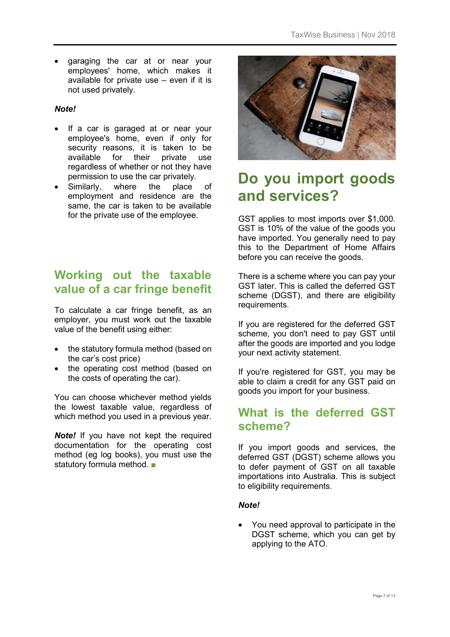• garaging the car at or near your employees' home, which makes it available for private use – even if it is not used privately.

### *Note!*

- If a car is garaged at or near your employee's home, even if only for security reasons, it is taken to be available for their private use regardless of whether or not they have permission to use the car privately.
- Similarly, where the place of employment and residence are the same, the car is taken to be available for the private use of the employee.

# **Working out the taxable value of a car fringe benefit**

To calculate a car fringe benefit, as an employer, you must work out the taxable value of the benefit using either:

- the statutory formula method (based on the car's cost price)
- the operating cost method (based on the costs of operating the car).

You can choose whichever method yields the lowest taxable value, regardless of which method you used in a previous year.

*Note!* If you have not kept the required documentation for the operating cost method (eg log books), you must use the statutory formula method. ■



# **Do you import goods and services?**

GST applies to most imports over \$1,000. GST is 10% of the value of the goods you have imported. You generally need to pay this to the Department of Home Affairs before you can receive the goods.

There is a scheme where you can pay your GST later. This is called the deferred GST scheme (DGST), and there are eligibility requirements.

If you are registered for the deferred GST scheme, you don't need to pay GST until after the goods are imported and you lodge your next activity statement.

If you're registered for GST, you may be able to claim a credit for any GST paid on goods you import for your business.

### **What is the deferred GST scheme?**

If you import goods and services, the deferred GST (DGST) scheme allows you to defer payment of GST on all taxable importations into Australia. This is subject to eligibility requirements.

#### *Note!*

• You need approval to participate in the DGST scheme, which you can get by applying to the ATO.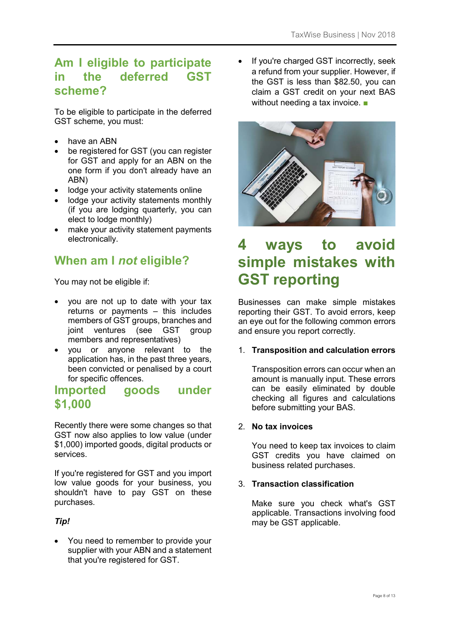# **Am I eligible to participate in the deferred GST scheme?**

To be eligible to participate in the deferred GST scheme, you must:

- have an ABN
- be registered for GST (you can register for GST and apply for an ABN on the one form if you don't already have an ABN)
- lodge your activity statements online
- lodge your activity statements monthly (if you are lodging quarterly, you can elect to lodge monthly)
- make your activity statement payments electronically.

# **When am I** *not* **eligible?**

You may not be eligible if:

- you are not up to date with your tax returns or payments – this includes members of GST groups, branches and joint ventures (see GST group members and representatives)
- you or anyone relevant to the application has, in the past three years, been convicted or penalised by a court for specific offences.

### **Imported goods under \$1,000**

Recently there were some changes so that GST now also applies to low value (under \$1,000) imported goods, digital products or services.

If you're registered for GST and you import low value goods for your business, you shouldn't have to pay GST on these purchases.

### *Tip!*

• You need to remember to provide your supplier with your ABN and a statement that you're registered for GST.

If you're charged GST incorrectly, seek a refund from your supplier. However, if the GST is less than \$82.50, you can claim a GST credit on your next BAS without needing a tax invoice. ■



# **4 ways to avoid simple mistakes with GST reporting**

Businesses can make simple mistakes reporting their GST. To avoid errors, keep an eye out for the following common errors and ensure you report correctly.

### 1. **Transposition and calculation errors**

Transposition errors can occur when an amount is manually input. These errors can be easily eliminated by double checking all figures and calculations before submitting your BAS.

### 2. **No tax invoices**

You need to keep tax invoices to claim GST credits you have claimed on business related purchases.

### 3. **Transaction classification**

Make sure you check what's GST applicable. Transactions involving food may be GST applicable.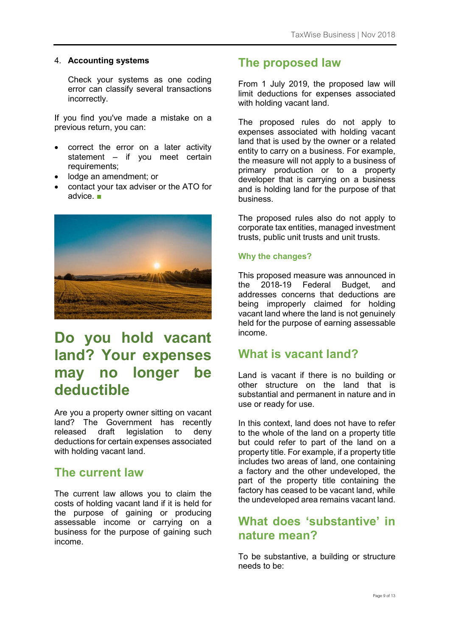### 4. **Accounting systems**

Check your systems as one coding error can classify several transactions incorrectly.

If you find you've made a mistake on a previous return, you can:

- correct the error on a later activity statement – if you meet certain requirements;
- lodge an amendment; or
- contact your tax adviser or the ATO for advice. ■



# **Do you hold vacant land? Your expenses may no longer be deductible**

Are you a property owner sitting on vacant land? The Government has recently released draft legislation to deny deductions for certain expenses associated with holding vacant land.

### **The current law**

The current law allows you to claim the costs of holding vacant land if it is held for the purpose of gaining or producing assessable income or carrying on a business for the purpose of gaining such income.

### **The proposed law**

From 1 July 2019, the proposed law will limit deductions for expenses associated with holding vacant land.

The proposed rules do not apply to expenses associated with holding vacant land that is used by the owner or a related entity to carry on a business. For example, the measure will not apply to a business of primary production or to a property developer that is carrying on a business and is holding land for the purpose of that business.

The proposed rules also do not apply to corporate tax entities, managed investment trusts, public unit trusts and unit trusts.

### **Why the changes?**

This proposed measure was announced in the 2018-19 Federal Budget, and addresses concerns that deductions are being improperly claimed for holding vacant land where the land is not genuinely held for the purpose of earning assessable income.

### **What is vacant land?**

Land is vacant if there is no building or other structure on the land that is substantial and permanent in nature and in use or ready for use.

In this context, land does not have to refer to the whole of the land on a property title but could refer to part of the land on a property title. For example, if a property title includes two areas of land, one containing a factory and the other undeveloped, the part of the property title containing the factory has ceased to be vacant land, while the undeveloped area remains vacant land.

# **What does 'substantive' in nature mean?**

To be substantive, a building or structure needs to be: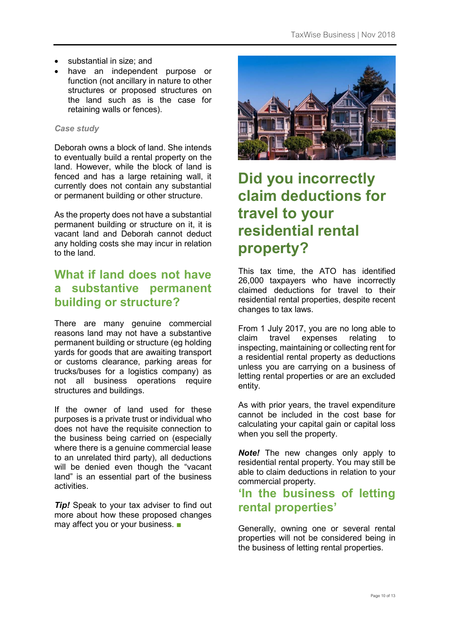- substantial in size; and
- have an independent purpose or function (not ancillary in nature to other structures or proposed structures on the land such as is the case for retaining walls or fences).

### *Case study*

Deborah owns a block of land. She intends to eventually build a rental property on the land. However, while the block of land is fenced and has a large retaining wall, it currently does not contain any substantial or permanent building or other structure.

As the property does not have a substantial permanent building or structure on it, it is vacant land and Deborah cannot deduct any holding costs she may incur in relation to the land.

# **What if land does not have a substantive permanent building or structure?**

There are many genuine commercial reasons land may not have a substantive permanent building or structure (eg holding yards for goods that are awaiting transport or customs clearance, parking areas for trucks/buses for a logistics company) as not all business operations require structures and buildings.

If the owner of land used for these purposes is a private trust or individual who does not have the requisite connection to the business being carried on (especially where there is a genuine commercial lease to an unrelated third party), all deductions will be denied even though the "vacant land" is an essential part of the business activities.

**Tip!** Speak to your tax adviser to find out more about how these proposed changes may affect you or your business. ■



# **Did you incorrectly claim deductions for travel to your residential rental property?**

This tax time, the ATO has identified 26,000 taxpayers who have incorrectly claimed deductions for travel to their residential rental properties, despite recent changes to tax laws.

From 1 July 2017, you are no long able to claim travel expenses relating to inspecting, maintaining or collecting rent for a residential rental property as deductions unless you are carrying on a business of letting rental properties or are an excluded entity.

As with prior years, the travel expenditure cannot be included in the cost base for calculating your capital gain or capital loss when you sell the property.

*Note!* The new changes only apply to residential rental property. You may still be able to claim deductions in relation to your commercial property.

## **'In the business of letting rental properties'**

Generally, owning one or several rental properties will not be considered being in the business of letting rental properties.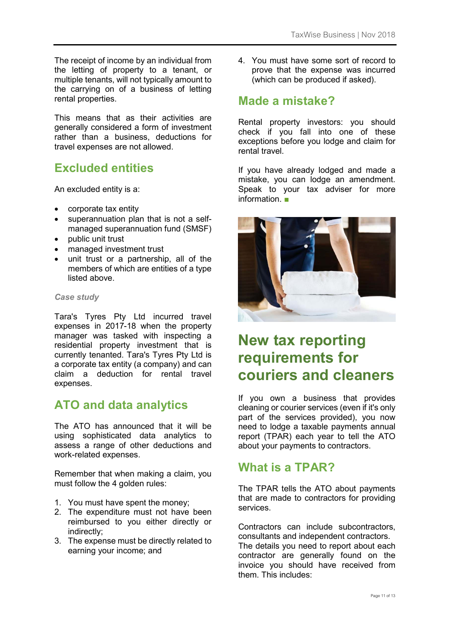The receipt of income by an individual from the letting of property to a tenant, or multiple tenants, will not typically amount to the carrying on of a business of letting rental properties.

This means that as their activities are generally considered a form of investment rather than a business, deductions for travel expenses are not allowed.

# **Excluded entities**

An excluded entity is a:

- corporate tax entity
- superannuation plan that is not a selfmanaged superannuation fund (SMSF)
- public unit trust
- managed investment trust
- unit trust or a partnership, all of the members of which are entities of a type listed above.

#### *Case study*

Tara's Tyres Pty Ltd incurred travel expenses in 2017-18 when the property manager was tasked with inspecting a residential property investment that is currently tenanted. Tara's Tyres Pty Ltd is a corporate tax entity (a company) and can claim a deduction for rental travel expenses.

### **ATO and data analytics**

The ATO has announced that it will be using sophisticated data analytics to assess a range of other deductions and work-related expenses.

Remember that when making a claim, you must follow the 4 golden rules:

- 1. You must have spent the money;
- 2. The expenditure must not have been reimbursed to you either directly or indirectly;
- 3. The expense must be directly related to earning your income; and

4. You must have some sort of record to prove that the expense was incurred (which can be produced if asked).

### **Made a mistake?**

Rental property investors: you should check if you fall into one of these exceptions before you lodge and claim for rental travel.

If you have already lodged and made a mistake, you can lodge an amendment. Speak to your tax adviser for more information. ■



# **New tax reporting requirements for couriers and cleaners**

If you own a business that provides cleaning or courier services (even if it's only part of the services provided), you now need to lodge a taxable payments annual report (TPAR) each year to tell the ATO about your payments to contractors.

# **What is a TPAR?**

The TPAR tells the ATO about payments that are made to contractors for providing services.

Contractors can include subcontractors, consultants and independent contractors. The details you need to report about each contractor are generally found on the invoice you should have received from them. This includes: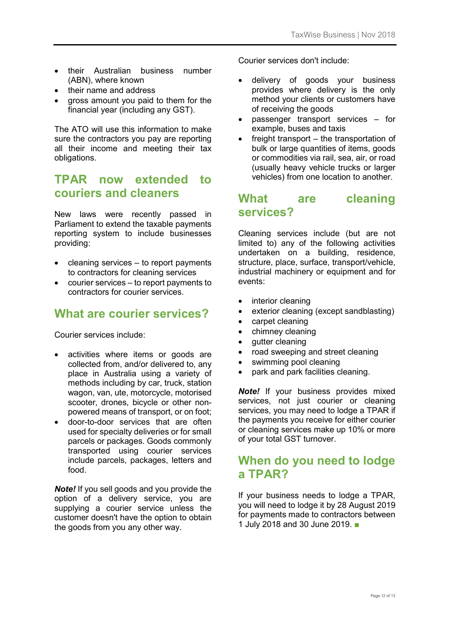- their Australian business number (ABN), where known
- their name and address
- gross amount you paid to them for the financial year (including any GST).

The ATO will use this information to make sure the contractors you pay are reporting all their income and meeting their tax obligations.

## **TPAR now extended to couriers and cleaners**

New laws were recently passed in Parliament to extend the taxable payments reporting system to include businesses providing:

- $cleaning$  services  $-$  to report payments to contractors for cleaning services
- courier services to report payments to contractors for courier services.

## **What are courier services?**

Courier services include:

- activities where items or goods are collected from, and/or delivered to, any place in Australia using a variety of methods including by car, truck, station wagon, van, ute, motorcycle, motorised scooter, drones, bicycle or other nonpowered means of transport, or on foot;
- door-to-door services that are often used for specialty deliveries or for small parcels or packages. Goods commonly transported using courier services include parcels, packages, letters and food.

*Note!* If you sell goods and you provide the option of a delivery service, you are supplying a courier service unless the customer doesn't have the option to obtain the goods from you any other way.

Courier services don't include:

- delivery of goods your business provides where delivery is the only method your clients or customers have of receiving the goods
- passenger transport services for example, buses and taxis
- freight transport the transportation of bulk or large quantities of items, goods or commodities via rail, sea, air, or road (usually heavy vehicle trucks or larger vehicles) from one location to another.

### **What are cleaning services?**

Cleaning services include (but are not limited to) any of the following activities undertaken on a building, residence, structure, place, surface, transport/vehicle, industrial machinery or equipment and for events:

- interior cleaning
- exterior cleaning (except sandblasting)
- carpet cleaning
- chimney cleaning
- gutter cleaning
- road sweeping and street cleaning
- swimming pool cleaning
- park and park facilities cleaning.

*Note!* If your business provides mixed services, not just courier or cleaning services, you may need to lodge a TPAR if the payments you receive for either courier or cleaning services make up 10% or more of your total GST turnover.

### **When do you need to lodge a TPAR?**

If your business needs to lodge a TPAR, you will need to lodge it by 28 August 2019 for payments made to contractors between 1 July 2018 and 30 June 2019. ■